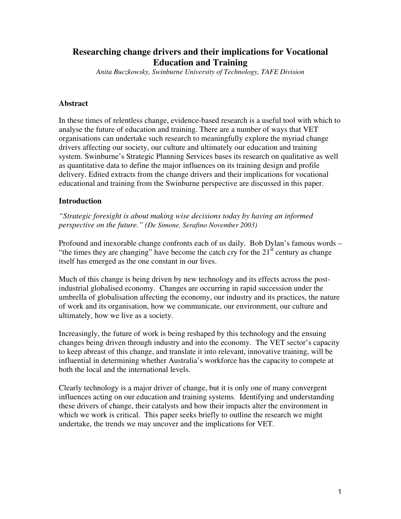# **Researching change drivers and their implications for Vocational Education and Training**

*Anita Buczkowsky, Swinburne University of Technology, TAFE Division*

#### **Abstract**

In these times of relentless change, evidence-based research is a useful tool with which to analyse the future of education and training. There are a number of ways that VET organisations can undertake such research to meaningfully explore the myriad change drivers affecting our society, our culture and ultimately our education and training system. Swinburne's Strategic Planning Services bases its research on qualitative as well as quantitative data to define the major influences on its training design and profile delivery. Edited extracts from the change drivers and their implications for vocational educational and training from the Swinburne perspective are discussed in this paper.

#### **Introduction**

*"Strategic foresight is about making wise decisions today by having an informed perspective on the future." (De Simone, Serafino November 2003)*

Profound and inexorable change confronts each of us daily. Bob Dylan's famous words – "the times they are changing" have become the catch cry for the  $21<sup>st</sup>$  century as change itself has emerged as the one constant in our lives.

Much of this change is being driven by new technology and its effects across the postindustrial globalised economy. Changes are occurring in rapid succession under the umbrella of globalisation affecting the economy, our industry and its practices, the nature of work and its organisation, how we communicate, our environment, our culture and ultimately, how we live as a society.

Increasingly, the future of work is being reshaped by this technology and the ensuing changes being driven through industry and into the economy. The VET sector's capacity to keep abreast of this change, and translate it into relevant, innovative training, will be influential in determining whether Australia's workforce has the capacity to compete at both the local and the international levels.

Clearly technology is a major driver of change, but it is only one of many convergent influences acting on our education and training systems. Identifying and understanding these drivers of change, their catalysts and how their impacts alter the environment in which we work is critical. This paper seeks briefly to outline the research we might undertake, the trends we may uncover and the implications for VET.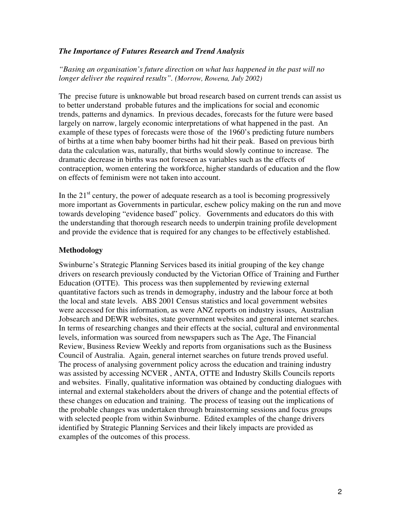### *The Importance of Futures Research and Trend Analysis*

*"Basing an organisation's future direction on what has happened in the past will no longer deliver the required results". (Morrow, Rowena, July 2002)*

The precise future is unknowable but broad research based on current trends can assist us to better understand probable futures and the implications for social and economic trends, patterns and dynamics. In previous decades, forecasts for the future were based largely on narrow, largely economic interpretations of what happened in the past. An example of these types of forecasts were those of the 1960's predicting future numbers of births at a time when baby boomer births had hit their peak. Based on previous birth data the calculation was, naturally, that births would slowly continue to increase. The dramatic decrease in births was not foreseen as variables such as the effects of contraception, women entering the workforce, higher standards of education and the flow on effects of feminism were not taken into account.

In the  $21<sup>st</sup>$  century, the power of adequate research as a tool is becoming progressively more important as Governments in particular, eschew policy making on the run and move towards developing "evidence based" policy. Governments and educators do this with the understanding that thorough research needs to underpin training profile development and provide the evidence that is required for any changes to be effectively established.

### **Methodology**

Swinburne's Strategic Planning Services based its initial grouping of the key change drivers on research previously conducted by the Victorian Office of Training and Further Education (OTTE). This process was then supplemented by reviewing external quantitative factors such as trends in demography, industry and the labour force at both the local and state levels. ABS 2001 Census statistics and local government websites were accessed for this information, as were ANZ reports on industry issues, Australian Jobsearch and DEWR websites, state government websites and general internet searches. In terms of researching changes and their effects at the social, cultural and environmental levels, information was sourced from newspapers such as The Age, The Financial Review, Business Review Weekly and reports from organisations such as the Business Council of Australia. Again, general internet searches on future trends proved useful. The process of analysing government policy across the education and training industry was assisted by accessing NCVER , ANTA, OTTE and Industry Skills Councils reports and websites. Finally, qualitative information was obtained by conducting dialogues with internal and external stakeholders about the drivers of change and the potential effects of these changes on education and training. The process of teasing out the implications of the probable changes was undertaken through brainstorming sessions and focus groups with selected people from within Swinburne. Edited examples of the change drivers identified by Strategic Planning Services and their likely impacts are provided as examples of the outcomes of this process.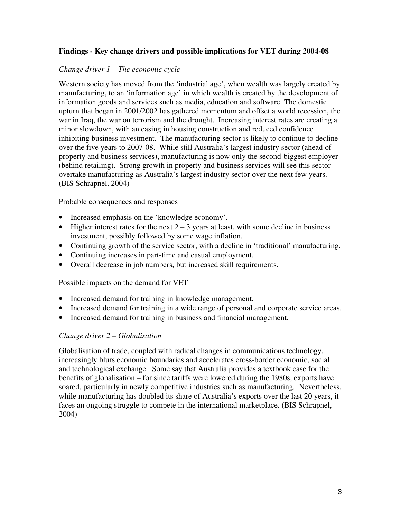### **Findings - Key change drivers and possible implications for VET during 2004-08**

#### *Change driver 1 – The economic cycle*

Western society has moved from the 'industrial age', when wealth was largely created by manufacturing, to an 'information age' in which wealth is created by the development of information goods and services such as media, education and software. The domestic upturn that began in 2001/2002 has gathered momentum and offset a world recession, the war in Iraq, the war on terrorism and the drought. Increasing interest rates are creating a minor slowdown, with an easing in housing construction and reduced confidence inhibiting business investment. The manufacturing sector is likely to continue to decline over the five years to 2007-08. While still Australia's largest industry sector (ahead of property and business services), manufacturing is now only the second-biggest employer (behind retailing). Strong growth in property and business services will see this sector overtake manufacturing as Australia's largest industry sector over the next few years. (BIS Schrapnel, 2004)

Probable consequences and responses

- Increased emphasis on the 'knowledge economy'.
- Higher interest rates for the next  $2 3$  years at least, with some decline in business investment, possibly followed by some wage inflation.
- Continuing growth of the service sector, with a decline in 'traditional' manufacturing.
- Continuing increases in part-time and casual employment.
- Overall decrease in job numbers, but increased skill requirements.

Possible impacts on the demand for VET

- Increased demand for training in knowledge management.
- Increased demand for training in a wide range of personal and corporate service areas.
- Increased demand for training in business and financial management.

#### *Change driver 2 – Globalisation*

Globalisation of trade, coupled with radical changes in communications technology, increasingly blurs economic boundaries and accelerates cross-border economic, social and technological exchange. Some say that Australia provides a textbook case for the benefits of globalisation – for since tariffs were lowered during the 1980s, exports have soared, particularly in newly competitive industries such as manufacturing. Nevertheless, while manufacturing has doubled its share of Australia's exports over the last 20 years, it faces an ongoing struggle to compete in the international marketplace. (BIS Schrapnel, 2004)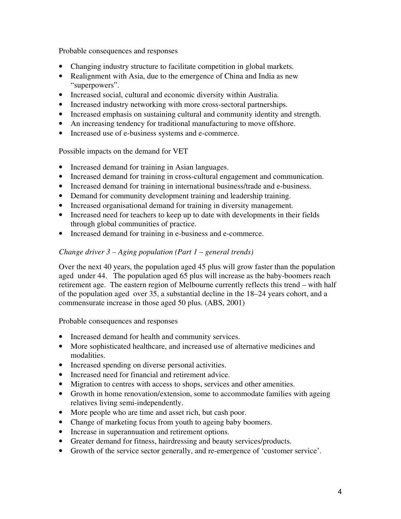Probable consequences and responses

- Changing industry structure to facilitate competition in global markets.
- Realignment with Asia, due to the emergence of China and India as new "superpowers".
- Increased social, cultural and economic diversity within Australia.
- Increased industry networking with more cross-sectoral partnerships.
- Increased emphasis on sustaining cultural and community identity and strength.
- An increasing tendency for traditional manufacturing to move offshore.
- Increased use of e-business systems and e-commerce.

Possible impacts on the demand for VET

- Increased demand for training in Asian languages.
- Increased demand for training in cross-cultural engagement and communication.
- Increased demand for training in international business/trade and e-business.
- Demand for community development training and leadership training.
- Increased organisational demand for training in diversity management.
- Increased need for teachers to keep up to date with developments in their fields through global communities of practice.
- Increased demand for training in e-business and e-commerce.

# *Change driver 3 – Aging population (Part 1 – general trends)*

Over the next 40 years, the population aged 45 plus will grow faster than the population aged under 44. The population aged 65 plus will increase as the baby-boomers reach retirement age. The eastern region of Melbourne currently reflects this trend – with half of the population aged over 35, a substantial decline in the 18–24 years cohort, and a commensurate increase in those aged 50 plus. (ABS, 2001)

Probable consequences and responses

- Increased demand for health and community services.
- More sophisticated healthcare, and increased use of alternative medicines and modalities.
- Increased spending on diverse personal activities.
- Increased need for financial and retirement advice.
- Migration to centres with access to shops, services and other amenities.
- Growth in home renovation/extension, some to accommodate families with ageing relatives living semi-independently.
- More people who are time and asset rich, but cash poor.
- Change of marketing focus from youth to ageing baby boomers.
- Increase in superannuation and retirement options.
- Greater demand for fitness, hairdressing and beauty services/products.
- Growth of the service sector generally, and re-emergence of 'customer service'.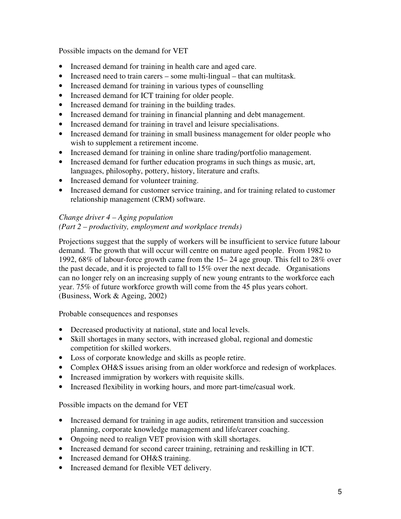Possible impacts on the demand for VET

- Increased demand for training in health care and aged care.
- Increased need to train carers some multi-lingual that can multitask.
- Increased demand for training in various types of counselling
- Increased demand for ICT training for older people.
- Increased demand for training in the building trades.
- Increased demand for training in financial planning and debt management.
- Increased demand for training in travel and leisure specialisations.
- Increased demand for training in small business management for older people who wish to supplement a retirement income.
- Increased demand for training in online share trading/portfolio management.
- Increased demand for further education programs in such things as music, art, languages, philosophy, pottery, history, literature and crafts.
- Increased demand for volunteer training.
- Increased demand for customer service training, and for training related to customer relationship management (CRM) software.

# *Change driver 4 – Aging population (Part 2 – productivity, employment and workplace trends)*

Projections suggest that the supply of workers will be insufficient to service future labour demand. The growth that will occur will centre on mature aged people. From 1982 to 1992, 68% of labour-force growth came from the 15– 24 age group. This fell to 28% over the past decade, and it is projected to fall to 15% over the next decade. Organisations can no longer rely on an increasing supply of new young entrants to the workforce each year. 75% of future workforce growth will come from the 45 plus years cohort. (Business, Work & Ageing, 2002)

Probable consequences and responses

- Decreased productivity at national, state and local levels.
- Skill shortages in many sectors, with increased global, regional and domestic competition for skilled workers.
- Loss of corporate knowledge and skills as people retire.
- Complex OH&S issues arising from an older workforce and redesign of workplaces.
- Increased immigration by workers with requisite skills.
- Increased flexibility in working hours, and more part-time/casual work.

Possible impacts on the demand for VET

- Increased demand for training in age audits, retirement transition and succession planning, corporate knowledge management and life/career coaching.
- Ongoing need to realign VET provision with skill shortages.
- Increased demand for second career training, retraining and reskilling in ICT.
- Increased demand for OH&S training.
- Increased demand for flexible VET delivery.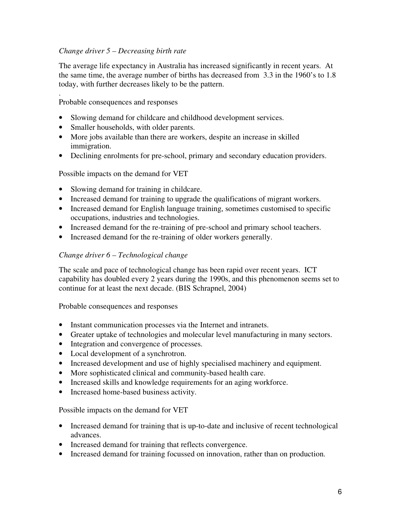### *Change driver 5 – Decreasing birth rate*

The average life expectancy in Australia has increased significantly in recent years. At the same time, the average number of births has decreased from 3.3 in the 1960's to 1.8 today, with further decreases likely to be the pattern.

. Probable consequences and responses

- Slowing demand for childcare and childhood development services.
- Smaller households, with older parents.
- More jobs available than there are workers, despite an increase in skilled immigration.
- Declining enrolments for pre-school, primary and secondary education providers.

Possible impacts on the demand for VET

- Slowing demand for training in childcare.
- Increased demand for training to upgrade the qualifications of migrant workers.
- Increased demand for English language training, sometimes customised to specific occupations, industries and technologies.
- Increased demand for the re-training of pre-school and primary school teachers.
- Increased demand for the re-training of older workers generally.

### *Change driver 6 – Technological change*

The scale and pace of technological change has been rapid over recent years. ICT capability has doubled every 2 years during the 1990s, and this phenomenon seems set to continue for at least the next decade. (BIS Schrapnel, 2004)

Probable consequences and responses

- Instant communication processes via the Internet and intranets.
- Greater uptake of technologies and molecular level manufacturing in many sectors.
- Integration and convergence of processes.
- Local development of a synchrotron.
- Increased development and use of highly specialised machinery and equipment.
- More sophisticated clinical and community-based health care.
- Increased skills and knowledge requirements for an aging workforce.
- Increased home-based business activity.

Possible impacts on the demand for VET

- Increased demand for training that is up-to-date and inclusive of recent technological advances.
- Increased demand for training that reflects convergence.
- Increased demand for training focussed on innovation, rather than on production.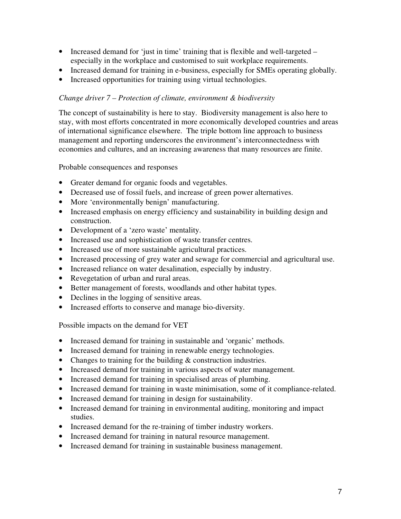- Increased demand for 'just in time' training that is flexible and well-targeted especially in the workplace and customised to suit workplace requirements.
- Increased demand for training in e-business, especially for SMEs operating globally.
- Increased opportunities for training using virtual technologies.

### *Change driver 7 – Protection of climate, environment & biodiversity*

The concept of sustainability is here to stay. Biodiversity management is also here to stay, with most efforts concentrated in more economically developed countries and areas of international significance elsewhere. The triple bottom line approach to business management and reporting underscores the environment's interconnectedness with economies and cultures, and an increasing awareness that many resources are finite.

Probable consequences and responses

- Greater demand for organic foods and vegetables.
- Decreased use of fossil fuels, and increase of green power alternatives.
- More 'environmentally benign' manufacturing.
- Increased emphasis on energy efficiency and sustainability in building design and construction.
- Development of a 'zero waste' mentality.
- Increased use and sophistication of waste transfer centres.
- Increased use of more sustainable agricultural practices.
- Increased processing of grey water and sewage for commercial and agricultural use.
- Increased reliance on water desalination, especially by industry.
- Revegetation of urban and rural areas.
- Better management of forests, woodlands and other habitat types.
- Declines in the logging of sensitive areas.
- Increased efforts to conserve and manage bio-diversity.

Possible impacts on the demand for VET

- Increased demand for training in sustainable and 'organic' methods.
- Increased demand for training in renewable energy technologies.
- Changes to training for the building & construction industries.
- Increased demand for training in various aspects of water management.
- Increased demand for training in specialised areas of plumbing.
- Increased demand for training in waste minimisation, some of it compliance-related.
- Increased demand for training in design for sustainability.
- Increased demand for training in environmental auditing, monitoring and impact studies.
- Increased demand for the re-training of timber industry workers.
- Increased demand for training in natural resource management.
- Increased demand for training in sustainable business management.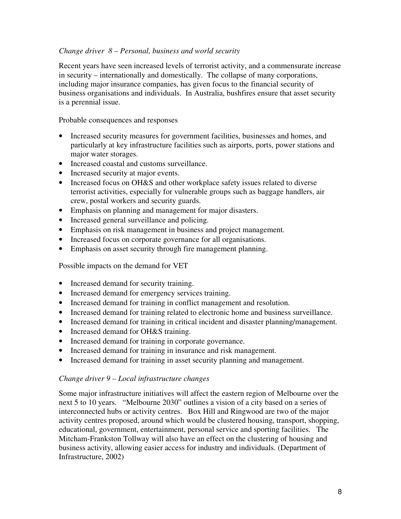### *Change driver 8 – Personal, business and world security*

Recent years have seen increased levels of terrorist activity, and a commensurate increase in security – internationally and domestically. The collapse of many corporations, including major insurance companies, has given focus to the financial security of business organisations and individuals. In Australia, bushfires ensure that asset security is a perennial issue.

Probable consequences and responses

- Increased security measures for government facilities, businesses and homes, and particularly at key infrastructure facilities such as airports, ports, power stations and major water storages.
- Increased coastal and customs surveillance.
- Increased security at major events.
- Increased focus on OH&S and other workplace safety issues related to diverse terrorist activities, especially for vulnerable groups such as baggage handlers, air crew, postal workers and security guards.
- Emphasis on planning and management for major disasters.
- Increased general surveillance and policing.
- Emphasis on risk management in business and project management.
- Increased focus on corporate governance for all organisations.
- Emphasis on asset security through fire management planning.

Possible impacts on the demand for VET

- Increased demand for security training.
- Increased demand for emergency services training.
- Increased demand for training in conflict management and resolution.
- Increased demand for training related to electronic home and business surveillance.
- Increased demand for training in critical incident and disaster planning/management.
- Increased demand for OH&S training.
- Increased demand for training in corporate governance.
- Increased demand for training in insurance and risk management.
- Increased demand for training in asset security planning and management.

#### *Change driver 9 – Local infrastructure changes*

Some major infrastructure initiatives will affect the eastern region of Melbourne over the next 5 to 10 years. "Melbourne 2030" outlines a vision of a city based on a series of interconnected hubs or activity centres. Box Hill and Ringwood are two of the major activity centres proposed, around which would be clustered housing, transport, shopping, educational, government, entertainment, personal service and sporting facilities. The Mitcham-Frankston Tollway will also have an effect on the clustering of housing and business activity, allowing easier access for industry and individuals. (Department of Infrastructure, 2002)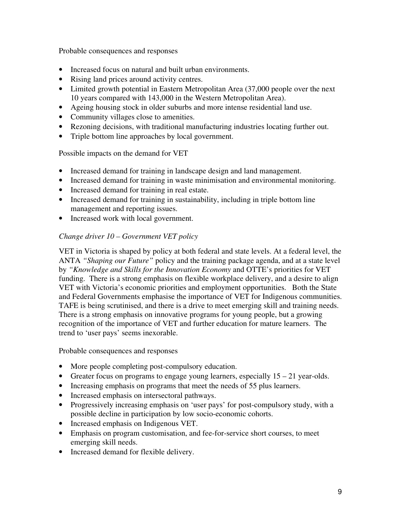Probable consequences and responses

- Increased focus on natural and built urban environments.
- Rising land prices around activity centres.
- Limited growth potential in Eastern Metropolitan Area (37,000 people over the next 10 years compared with 143,000 in the Western Metropolitan Area).
- Ageing housing stock in older suburbs and more intense residential land use.
- Community villages close to amenities.
- Rezoning decisions, with traditional manufacturing industries locating further out.
- Triple bottom line approaches by local government.

Possible impacts on the demand for VET

- Increased demand for training in landscape design and land management.
- Increased demand for training in waste minimisation and environmental monitoring.
- Increased demand for training in real estate.
- Increased demand for training in sustainability, including in triple bottom line management and reporting issues.
- Increased work with local government.

# *Change driver 10 – Government VET policy*

VET in Victoria is shaped by policy at both federal and state levels. At a federal level, the ANTA *"Shaping our Future"* policy and the training package agenda, and at a state level by *"Knowledge and Skills for the Innovation Economy* and OTTE's priorities for VET funding. There is a strong emphasis on flexible workplace delivery, and a desire to align VET with Victoria's economic priorities and employment opportunities. Both the State and Federal Governments emphasise the importance of VET for Indigenous communities. TAFE is being scrutinised, and there is a drive to meet emerging skill and training needs. There is a strong emphasis on innovative programs for young people, but a growing recognition of the importance of VET and further education for mature learners. The trend to 'user pays' seems inexorable.

Probable consequences and responses

- More people completing post-compulsory education.
- Greater focus on programs to engage young learners, especially  $15 21$  year-olds.
- Increasing emphasis on programs that meet the needs of 55 plus learners.
- Increased emphasis on intersectoral pathways.
- Progressively increasing emphasis on 'user pays' for post-compulsory study, with a possible decline in participation by low socio-economic cohorts.
- Increased emphasis on Indigenous VET.
- Emphasis on program customisation, and fee-for-service short courses, to meet emerging skill needs.
- Increased demand for flexible delivery.